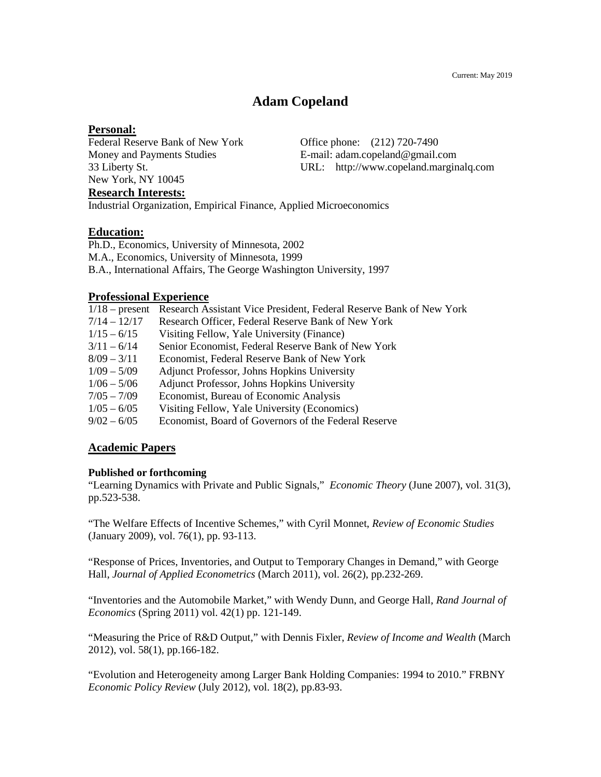## **Adam Copeland**

#### **Personal:**

Federal Reserve Bank of New York Office phone: (212) 720-7490 New York, NY 10045 **Research Interests:**

Money and Payments Studies E-mail: adam.copeland@gmail.com 33 Liberty St. URL: http://www.copeland.marginalq.com

# Industrial Organization, Empirical Finance, Applied Microeconomics

## **Education:**

Ph.D., Economics, University of Minnesota, 2002 M.A., Economics, University of Minnesota, 1999 B.A., International Affairs, The George Washington University, 1997

## **Professional Experience**

| $1/18$ – present | Research Assistant Vice President, Federal Reserve Bank of New York |
|------------------|---------------------------------------------------------------------|
| $7/14 - 12/17$   | Research Officer, Federal Reserve Bank of New York                  |
| $1/15 - 6/15$    | Visiting Fellow, Yale University (Finance)                          |
| $3/11 - 6/14$    | Senior Economist, Federal Reserve Bank of New York                  |
| $8/09 - 3/11$    | Economist, Federal Reserve Bank of New York                         |
| $1/09 - 5/09$    | Adjunct Professor, Johns Hopkins University                         |
| $1/06 - 5/06$    | Adjunct Professor, Johns Hopkins University                         |
| $7/05 - 7/09$    | Economist, Bureau of Economic Analysis                              |
| $1/05 - 6/05$    | Visiting Fellow, Yale University (Economics)                        |
| $9/02 - 6/05$    | Economist, Board of Governors of the Federal Reserve                |

## **Academic Papers**

## **Published or forthcoming**

"Learning Dynamics with Private and Public Signals," *Economic Theory* (June 2007), vol. 31(3), pp.523-538.

"The Welfare Effects of Incentive Schemes," with Cyril Monnet, *Review of Economic Studies* (January 2009), vol. 76(1), pp. 93-113.

"Response of Prices, Inventories, and Output to Temporary Changes in Demand," with George Hall, *Journal of Applied Econometrics* (March 2011), vol. 26(2), pp.232-269.

"Inventories and the Automobile Market," with Wendy Dunn, and George Hall, *Rand Journal of Economics* (Spring 2011) vol. 42(1) pp. 121-149.

"Measuring the Price of R&D Output," with Dennis Fixler, *Review of Income and Wealth* (March 2012), vol. 58(1), pp.166-182.

"Evolution and Heterogeneity among Larger Bank Holding Companies: 1994 to 2010." FRBNY *Economic Policy Review* (July 2012), vol. 18(2), pp.83-93.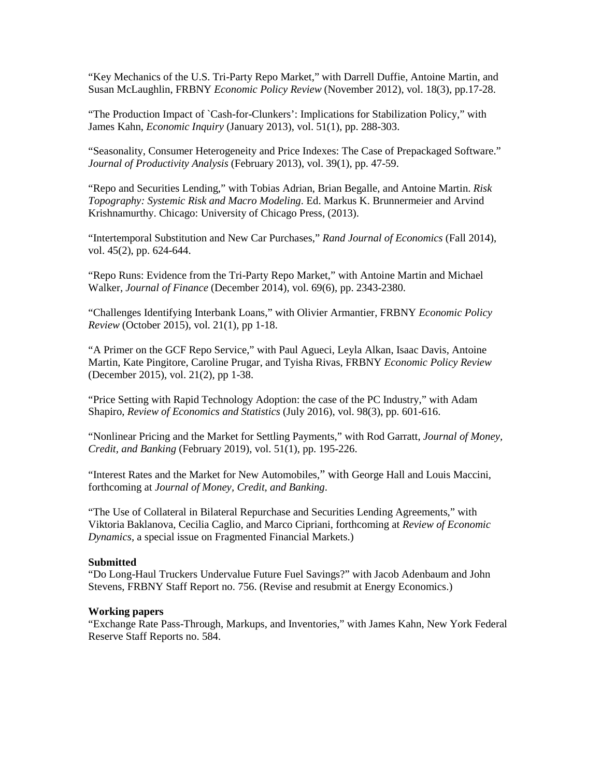"Key Mechanics of the U.S. Tri-Party Repo Market," with Darrell Duffie, Antoine Martin, and Susan McLaughlin, FRBNY *Economic Policy Review* (November 2012), vol. 18(3), pp.17-28.

"The Production Impact of `Cash-for-Clunkers': Implications for Stabilization Policy," with James Kahn, *Economic Inquiry* (January 2013), vol. 51(1), pp. 288-303.

"Seasonality, Consumer Heterogeneity and Price Indexes: The Case of Prepackaged Software." *Journal of Productivity Analysis* (February 2013), vol. 39(1), pp. 47-59.

"Repo and Securities Lending," with Tobias Adrian, Brian Begalle, and Antoine Martin. *Risk Topography: Systemic Risk and Macro Modeling*. Ed. Markus K. Brunnermeier and Arvind Krishnamurthy. Chicago: University of Chicago Press, (2013).

"Intertemporal Substitution and New Car Purchases," *Rand Journal of Economics* (Fall 2014), vol. 45(2), pp. 624-644.

"Repo Runs: Evidence from the Tri-Party Repo Market," with Antoine Martin and Michael Walker, *Journal of Finance* (December 2014), vol. 69(6), pp. 2343-2380.

"Challenges Identifying Interbank Loans," with Olivier Armantier, FRBNY *Economic Policy Review* (October 2015), vol. 21(1), pp 1-18.

"A Primer on the GCF Repo Service," with Paul Agueci, Leyla Alkan, Isaac Davis, Antoine Martin, Kate Pingitore, Caroline Prugar, and Tyisha Rivas, FRBNY *Economic Policy Review* (December 2015), vol. 21(2), pp 1-38.

"Price Setting with Rapid Technology Adoption: the case of the PC Industry," with Adam Shapiro, *Review of Economics and Statistics* (July 2016), vol. 98(3), pp. 601-616.

"Nonlinear Pricing and the Market for Settling Payments," with Rod Garratt, *Journal of Money, Credit, and Banking* (February 2019), vol. 51(1), pp. 195-226.

"Interest Rates and the Market for New Automobiles," with George Hall and Louis Maccini, forthcoming at *Journal of Money, Credit, and Banking*.

"The Use of Collateral in Bilateral Repurchase and Securities Lending Agreements," with Viktoria Baklanova, Cecilia Caglio, and Marco Cipriani, forthcoming at *Review of Economic Dynamics*, a special issue on Fragmented Financial Markets.)

#### **Submitted**

"Do Long-Haul Truckers Undervalue Future Fuel Savings?" with Jacob Adenbaum and John Stevens, FRBNY Staff Report no. 756. (Revise and resubmit at Energy Economics.)

#### **Working papers**

"Exchange Rate Pass-Through, Markups, and Inventories," with James Kahn, New York Federal Reserve Staff Reports no. 584.